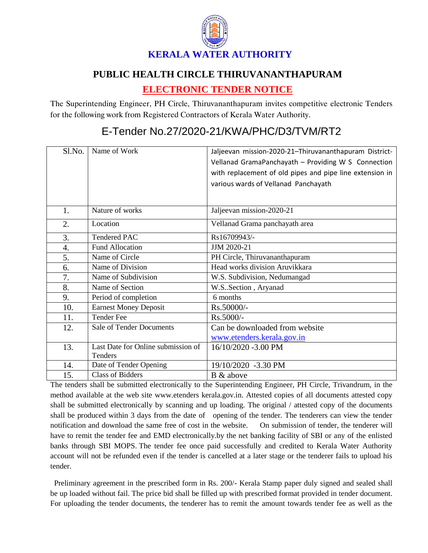

## **PUBLIC HEALTH CIRCLE THIRUVANANTHAPURAM**

## **ELECTRONIC TENDER NOTICE**

The Superintending Engineer, PH Circle, Thiruvananthapuram invites competitive electronic Tenders for the following work from Registered Contractors of Kerala Water Authority.

## Sl.No. Name of Work Jaljeevan mission-2020-21–Thiruvananthapuram District-Vellanad GramaPanchayath – Providing W S Connection with replacement of old pipes and pipe line extension in various wards of Vellanad Panchayath 1. Nature of works Jaljeevan mission-2020-21 2. Location Vellanad Grama panchayath area  $3.$  Tendered PAC Rs16709943/-4 Fund Allocation JJJM 2020-21 5. Name of Circle PH Circle, Thiruvananthapuram 6. Name of Division Head works division Aruvikkara 7. Name of Subdivision W.S. Subdivision, Nedumangad 8. Name of Section W.S. Section , Aryanad 9. Period of completion 6 months 10. Earnest Money Deposit Rs.50000/-11.  $\vert$  Tender Fee  $\vert$  Rs.5000/-12. Sale of Tender Documents Can be downloaded from website [www.etenders.kerala.gov.in](../../../SUBHADRA/KWA/Downloads/www.etenders.kerala.gov.in) 13. Last Date for Online submission of Tenders 16/10/2020 -3.00 PM 14. Date of Tender Opening 19/10/2020 -3.30 PM 15. Class of Bidders B & above

## E-Tender No.27/2020-21/KWA/PHC/D3/TVM/RT2

The tenders shall be submitted electronically to the Superintending Engineer, PH Circle, Trivandrum, in the method available at the web site www.etenders kerala.gov.in. Attested copies of all documents attested copy shall be submitted electronically by scanning and up loading. The original / attested copy of the documents shall be produced within 3 days from the date of opening of the tender. The tenderers can view the tender notification and download the same free of cost in the website. On submission of tender, the tenderer will have to remit the tender fee and EMD electronically.by the net banking facility of SBI or any of the enlisted banks through SBI MOPS. The tender fee once paid successfully and credited to Kerala Water Authority account will not be refunded even if the tender is cancelled at a later stage or the tenderer fails to upload his tender.

 Preliminary agreement in the prescribed form in Rs. 200/- Kerala Stamp paper duly signed and sealed shall be up loaded without fail. The price bid shall be filled up with prescribed format provided in tender document. For uploading the tender documents, the tenderer has to remit the amount towards tender fee as well as the